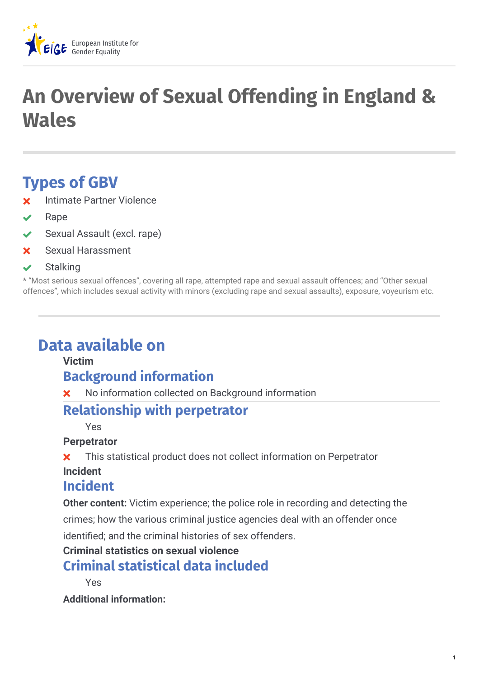

# **An Overview of Sexual Offending in England & Wales**

# **Types of GBV**

- Intimate Partner Violence
- Rape
- Sexual Assault (excl. rape)
- Sexual Harassment
- $\vee$  Stalking

\* "Most serious sexual offences", covering all rape, attempted rape and sexual assault offences; and "Other sexual offences", which includes sexual activity with minors (excluding rape and sexual assaults), exposure, voyeurism etc.

# **Data available on**

#### **Victim**

### **Background information**

**X** No information collected on Background information

### **Relationship with perpetrator**

Yes

#### **Perpetrator**

**X** This statistical product does not collect information on Perpetrator

#### **Incident**

#### **Incident**

**Other content:** Victim experience; the police role in recording and detecting the

crimes; how the various criminal justice agencies deal with an offender once identified; and the criminal histories of sex offenders.

#### **Criminal statistics on sexual violence**

### **Criminal statistical data included**

Yes

**Additional information:**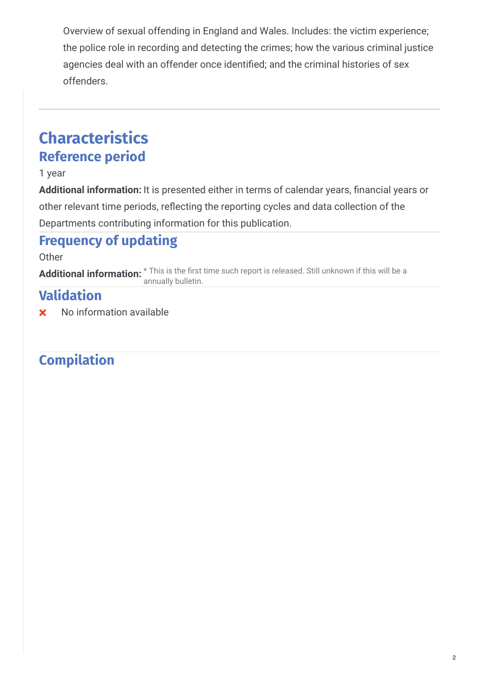Overview of sexual offending in England and Wales. Includes: the victim experience; the police role in recording and detecting the crimes; how the various criminal justice agencies deal with an offender once identified; and the criminal histories of sex offenders.

# **Characteristics Reference period**

#### 1 year

**Additional information:** It is presented either in terms of calendar years, financial years or other relevant time periods, reflecting the reporting cycles and data collection of the Departments contributing information for this publication.

# **Frequency of updating**

#### **Other**

**Additional information:**  $^{\star}$  This is the first time such report is released. Still unknown if this will be a annually bulletin.

# **Validation**

No information available

# **Compilation**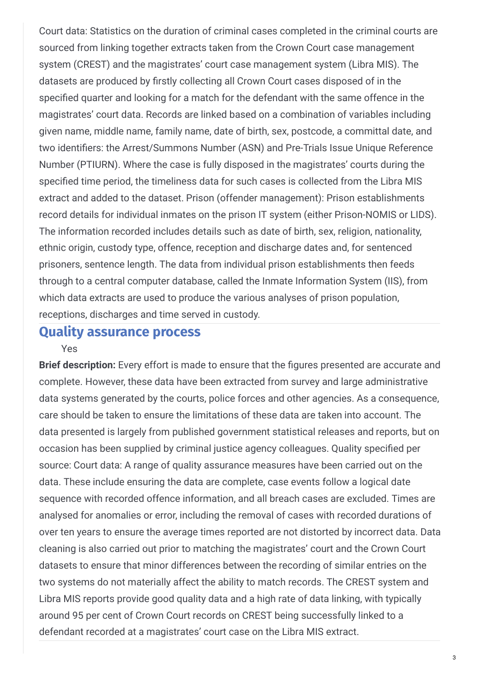Court data: Statistics on the duration of criminal cases completed in the criminal courts are sourced from linking together extracts taken from the Crown Court case management system (CREST) and the magistrates' court case management system (Libra MIS). The datasets are produced by firstly collecting all Crown Court cases disposed of in the specified quarter and looking for a match for the defendant with the same offence in the magistrates' court data. Records are linked based on a combination of variables including given name, middle name, family name, date of birth, sex, postcode, a committal date, and two identifiers: the Arrest/Summons Number (ASN) and Pre-Trials Issue Unique Reference Number (PTIURN). Where the case is fully disposed in the magistrates' courts during the specified time period, the timeliness data for such cases is collected from the Libra MIS extract and added to the dataset. Prison (offender management): Prison establishments record details for individual inmates on the prison IT system (either Prison-NOMIS or LIDS). The information recorded includes details such as date of birth, sex, religion, nationality, ethnic origin, custody type, offence, reception and discharge dates and, for sentenced prisoners, sentence length. The data from individual prison establishments then feeds through to a central computer database, called the Inmate Information System (IIS), from which data extracts are used to produce the various analyses of prison population, receptions, discharges and time served in custody.

#### **Quality assurance process** Yes

**Brief description:** Every effort is made to ensure that the figures presented are accurate and complete. However, these data have been extracted from survey and large administrative data systems generated by the courts, police forces and other agencies. As a consequence, care should be taken to ensure the limitations of these data are taken into account. The data presented is largely from published government statistical releases and reports, but on occasion has been supplied by criminal justice agency colleagues. Quality specified per source: Court data: A range of quality assurance measures have been carried out on the data. These include ensuring the data are complete, case events follow a logical date sequence with recorded offence information, and all breach cases are excluded. Times are analysed for anomalies or error, including the removal of cases with recorded durations of over ten years to ensure the average times reported are not distorted by incorrect data. Data cleaning is also carried out prior to matching the magistrates' court and the Crown Court datasets to ensure that minor differences between the recording of similar entries on the two systems do not materially affect the ability to match records. The CREST system and Libra MIS reports provide good quality data and a high rate of data linking, with typically around 95 per cent of Crown Court records on CREST being successfully linked to a defendant recorded at a magistrates' court case on the Libra MIS extract.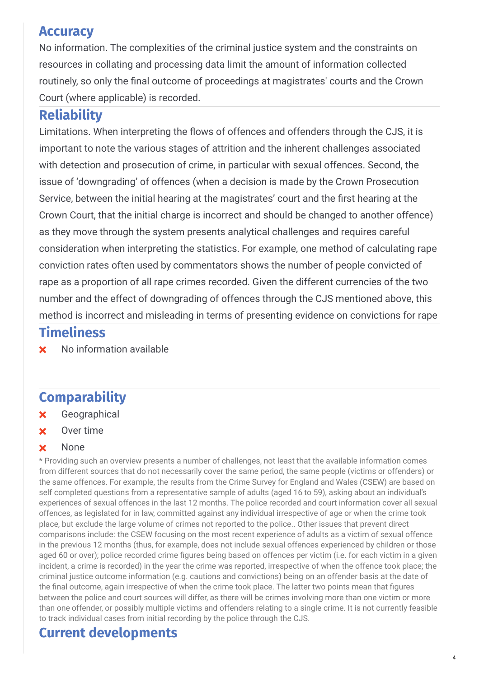### **Accuracy**

No information. The complexities of the criminal justice system and the constraints on resources in collating and processing data limit the amount of information collected routinely, so only the final outcome of proceedings at magistrates' courts and the Crown Court (where applicable) is recorded.

# **Reliability**

Limitations. When interpreting the flows of offences and offenders through the CJS, it is important to note the various stages of attrition and the inherent challenges associated with detection and prosecution of crime, in particular with sexual offences. Second, the issue of 'downgrading' of offences (when a decision is made by the Crown Prosecution Service, between the initial hearing at the magistrates' court and the first hearing at the Crown Court, that the initial charge is incorrect and should be changed to another offence) as they move through the system presents analytical challenges and requires careful consideration when interpreting the statistics. For example, one method of calculating rape conviction rates often used by commentators shows the number of people convicted of rape as a proportion of all rape crimes recorded. Given the different currencies of the two number and the effect of downgrading of offences through the CJS mentioned above, this method is incorrect and misleading in terms of presenting evidence on convictions for rape

## **Timeliness**

**x** No information available

# **Comparability**

- Geographical
- **x** Over time

#### **x** None

\* Providing such an overview presents a number of challenges, not least that the available information comes from different sources that do not necessarily cover the same period, the same people (victims or offenders) or the same offences. For example, the results from the Crime Survey for England and Wales (CSEW) are based on self completed questions from a representative sample of adults (aged 16 to 59), asking about an individual's experiences of sexual offences in the last 12 months. The police recorded and court information cover all sexual offences, as legislated for in law, committed against any individual irrespective of age or when the crime took place, but exclude the large volume of crimes not reported to the police.. Other issues that prevent direct comparisons include: the CSEW focusing on the most recent experience of adults as a victim of sexual offence in the previous 12 months (thus, for example, does not include sexual offences experienced by children or those aged 60 or over); police recorded crime figures being based on offences per victim (i.e. for each victim in a given incident, a crime is recorded) in the year the crime was reported, irrespective of when the offence took place; the criminal justice outcome information (e.g. cautions and convictions) being on an offender basis at the date of the final outcome, again irrespective of when the crime took place. The latter two points mean that figures between the police and court sources will differ, as there will be crimes involving more than one victim or more than one offender, or possibly multiple victims and offenders relating to a single crime. It is not currently feasible to track individual cases from initial recording by the police through the CJS.

# **Current developments**